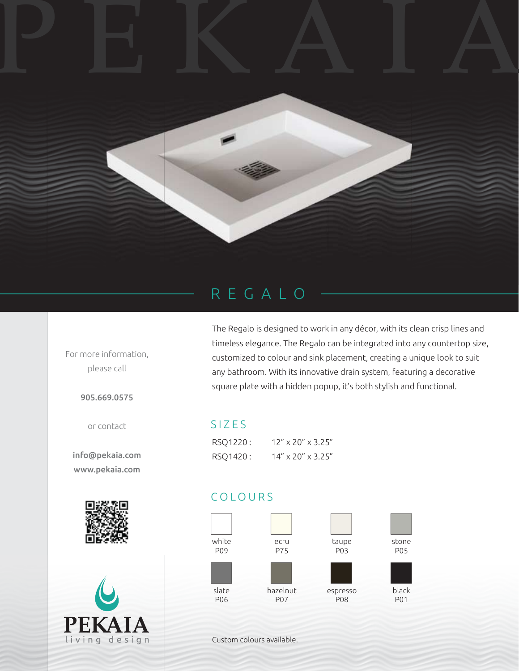## PEKAIA



For more information, please call

905.669.0575

or contact

info@pekaia.com www.pekaia.com





The Regalo is designed to work in any décor, with its clean crisp lines and timeless elegance. The Regalo can be integrated into any countertop size, customized to colour and sink placement, creating a unique look to suit any bathroom. With its innovative drain system, featuring a decorative square plate with a hidden popup, it's both stylish and functional.

## SIZES

| RSO1220: | 12" x 20" x 3.25"                |
|----------|----------------------------------|
| RSO1420: | $14'' \times 20'' \times 3.25''$ |

## COLOURS



Custom colours available.